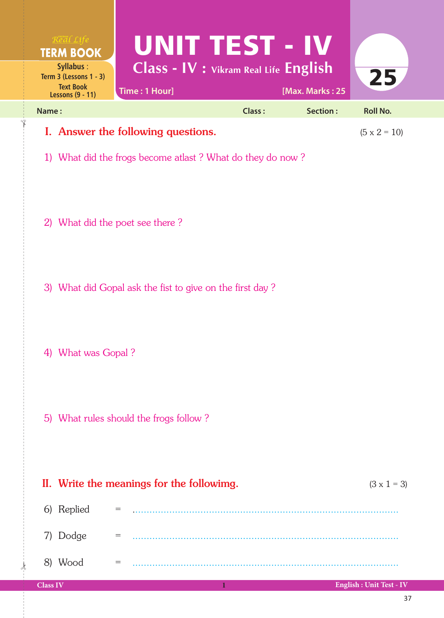|       | $R$ <sup>org</sup> al Life<br><b>TERM BOOK</b>                                          | UNIT TEST - IV                                            |               |                 |                     |
|-------|-----------------------------------------------------------------------------------------|-----------------------------------------------------------|---------------|-----------------|---------------------|
|       | Syllabus:<br>Term $3$ (Lessons $1 - 3$ )<br><b>Text Book</b><br><b>Lessons (9 - 11)</b> | Class - IV : Vikram Real Life English<br>Time: 1 Hour]    |               | [Max. Marks: 25 | 25                  |
| Name: |                                                                                         |                                                           | <b>Class:</b> | Section:        | <b>Roll No.</b>     |
|       |                                                                                         | I. Answer the following questions.                        |               |                 | $(5 \times 2 = 10)$ |
|       |                                                                                         | 1) What did the frogs become atlast? What do they do now? |               |                 |                     |
|       |                                                                                         | 2) What did the poet see there?                           |               |                 |                     |
|       |                                                                                         | 3) What did Gopal ask the fist to give on the first day?  |               |                 |                     |
|       | 4) What was Gopal?                                                                      |                                                           |               |                 |                     |
|       |                                                                                         | 5) What rules should the frogs follow?                    |               |                 |                     |
|       |                                                                                         | II. Write the meanings for the followimg.                 |               |                 | $(3 \times 1 = 3)$  |
|       | 6) Replied                                                                              |                                                           |               |                 |                     |
|       | 7) Dodge                                                                                | $=$                                                       |               |                 |                     |
|       | 8) Wood                                                                                 | $=$                                                       |               |                 |                     |